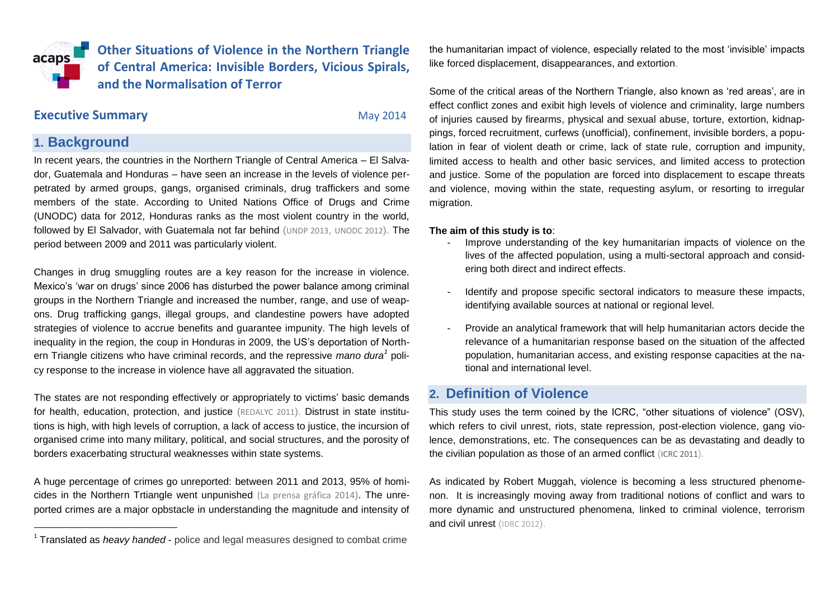**Other Situations of Violence in the Northern Triangle**  acaps **of Central America: Invisible Borders, Vicious Spirals, and the Normalisation of Terror**

## **Executive Summary CONSERVING MAY 2014**

## **1. Background**

l

In recent years, the countries in the Northern Triangle of Central America – El Salvador, Guatemala and Honduras – have seen an increase in the levels of violence perpetrated by armed groups, gangs, organised criminals, drug traffickers and some members of the state. According to United Nations Office of Drugs and Crime (UNODC) data for 2012, Honduras ranks as the most violent country in the world, followed by El Salvador, with Guatemala not far behind ([UNDP 2013](http://www.latinamerica.undp.org/content/dam/rblac/img/IDH/IDH-ALInformecompleto.pdf), [UNODC 2012](http://www.unodc.org/documents/data-and-analysis/Studies/TOC_Central_America_and_the_Caribbean_spanish.pdf)). The period between 2009 and 2011 was particularly violent.

Changes in drug smuggling routes are a key reason for the increase in violence. Mexico's 'war on drugs' since 2006 has disturbed the power balance among criminal groups in the Northern Triangle and increased the number, range, and use of weapons. Drug trafficking gangs, illegal groups, and clandestine powers have adopted strategies of violence to accrue benefits and guarantee impunity. The high levels of inequality in the region, the coup in Honduras in 2009, the US's deportation of Northern Triangle citizens who have criminal records, and the repressive *mano dura<sup>1</sup>* policy response to the increase in violence have all aggravated the situation.

The states are not responding effectively or appropriately to victims' basic demands for health, education, protection, and justice ([REDALYC 2011](http://biblioteca.hegoa.ehu.es/system/ebooks/18817/original/Violencia_estado_de_derecho_y_politicas_punitivas_en_America_Central.pdf?1331220837)). Distrust in state institutions is high, with high levels of corruption, a lack of access to justice, the incursion of organised crime into many military, political, and social structures, and the porosity of borders exacerbating structural weaknesses within state systems.

A huge percentage of crimes go unreported: between 2011 and 2013, 95% of homicides in the Northern Trtiangle went unpunished [\(La prensa gráfica 2014](http://www.laprensagrafica.com/2014/03/30/los-paises-que-no-lloran-a-sus-muertos)). The unreported crimes are a major opbstacle in understanding the magnitude and intensity of

the humanitarian impact of violence, especially related to the most 'invisible' impacts like forced displacement, disappearances, and extortion.

Some of the critical areas of the Northern Triangle, also known as 'red areas', are in effect conflict zones and exibit high levels of violence and criminality, large numbers of injuries caused by firearms, physical and sexual abuse, torture, extortion, kidnappings, forced recruitment, curfews (unofficial), confinement, invisible borders, a population in fear of violent death or crime, lack of state rule, corruption and impunity, limited access to health and other basic services, and limited access to protection and justice. Some of the population are forced into displacement to escape threats and violence, moving within the state, requesting asylum, or resorting to irregular migration.

#### **The aim of this study is to**:

- Improve understanding of the key humanitarian impacts of violence on the lives of the affected population, using a multi-sectoral approach and considering both direct and indirect effects.
- Identify and propose specific sectoral indicators to measure these impacts, identifying available sources at national or regional level.
- Provide an analytical framework that will help humanitarian actors decide the relevance of a humanitarian response based on the situation of the affected population, humanitarian access, and existing response capacities at the national and international level.

## **2. Definition of Violence**

This study uses the term coined by the ICRC, "other situations of violence" (OSV), which refers to civil unrest, riots, state repression, post-election violence, gang violence, demonstrations, etc. The consequences can be as devastating and deadly to the civilian population as those of an armed conflict ([ICRC 2011](http://www.icrc.org/eng/assets/files/red-cross-crescent-movement/council-delegates-2011/council-delegates-2011-external-actors-report-eng.pdf)).

As indicated by Robert Muggah, violence is becoming a less structured phenomenon. It is increasingly moving away from traditional notions of conflict and wars to more dynamic and unstructured phenomena, linked to criminal violence, terrorism and civil unrest ([IDRC 2012](http://www.idrc.ca/EN/PublishingImages/Researching-the-Urban-Dilemma-Baseline-study.pdf)).

<sup>&</sup>lt;sup>1</sup> Translated as *heavy handed* - police and legal measures designed to combat crime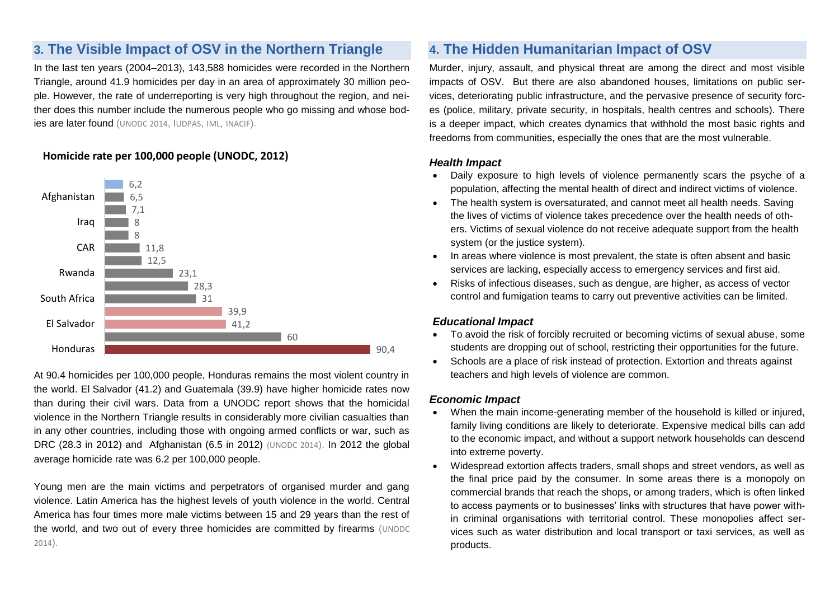# **3. The Visible Impact of OSV in the Northern Triangle**

In the last ten years (2004–2013), 143,588 homicides were recorded in the Northern Triangle, around 41.9 homicides per day in an area of approximately 30 million people. However, the rate of underreporting is very high throughout the region, and neither does this number include the numerous people who go missing and whose bodies are later found ([UNODC 2014](https://www.unodc.org/documents/data-and-analysis/statistics/GSH2013/2014_GLOBAL_HOMICIDE_BOOK_web.pdf), I[UDPAS](http://www.iudpas.org/), [IML](http://www.transparencia.oj.gob.sv/portal/transparencia.php?opcion=13), [INACIF](http://www.inacif.gob.gt/)).

### **Homicide rate per 100,000 people (UNODC, 2012)**



At 90.4 homicides per 100,000 people, Honduras remains the most violent country in the world. El Salvador (41.2) and Guatemala (39.9) have higher homicide rates now than during their civil wars. Data from a UNODC report shows that the homicidal violence in the Northern Triangle results in considerably more civilian casualties than in any other countries, including those with ongoing armed conflicts or war, such as DRC (28.3 in 2012) and Afghanistan (6.5 in 2012) [\(UNODC 2014](http://www.unodc.org/documents/data-and-analysis/Studies/TOC_Central_America_and_the_Caribbean_spanish.pdf)). In 2012 the global average homicide rate was 6.2 per 100,000 people.

Young men are the main victims and perpetrators of organised murder and gang violence. Latin America has the highest levels of youth violence in the world. Central America has four times more male victims between 15 and 29 years than the rest of the world, and two out of every three homicides are committed by firearms ([UNODC](https://www.unodc.org/documents/data-and-analysis/statistics/GSH2013/2014_GLOBAL_HOMICIDE_BOOK_web.pdf)  [2014](https://www.unodc.org/documents/data-and-analysis/statistics/GSH2013/2014_GLOBAL_HOMICIDE_BOOK_web.pdf)).

# **4. The Hidden Humanitarian Impact of OSV**

Murder, injury, assault, and physical threat are among the direct and most visible impacts of OSV. But there are also abandoned houses, limitations on public services, deteriorating public infrastructure, and the pervasive presence of security forces (police, military, private security, in hospitals, health centres and schools). There is a deeper impact, which creates dynamics that withhold the most basic rights and freedoms from communities, especially the ones that are the most vulnerable.

#### *Health Impact*

- Daily exposure to high levels of violence permanently scars the psyche of a population, affecting the mental health of direct and indirect victims of violence.
- The health system is oversaturated, and cannot meet all health needs. Saving the lives of victims of violence takes precedence over the health needs of others. Victims of sexual violence do not receive adequate support from the health system (or the justice system).
- In areas where violence is most prevalent, the state is often absent and basic services are lacking, especially access to emergency services and first aid.
- Risks of infectious diseases, such as dengue, are higher, as access of vector control and fumigation teams to carry out preventive activities can be limited.

#### *Educational Impact*

- To avoid the risk of forcibly recruited or becoming victims of sexual abuse, some students are dropping out of school, restricting their opportunities for the future.
- Schools are a place of risk instead of protection. Extortion and threats against teachers and high levels of violence are common.

#### *Economic Impact*

- When the main income-generating member of the household is killed or injured, family living conditions are likely to deteriorate. Expensive medical bills can add to the economic impact, and without a support network households can descend into extreme poverty.
- Widespread extortion affects traders, small shops and street vendors, as well as the final price paid by the consumer. In some areas there is a monopoly on commercial brands that reach the shops, or among traders, which is often linked to access payments or to businesses' links with structures that have power within criminal organisations with territorial control. These monopolies affect services such as water distribution and local transport or taxi services, as well as products.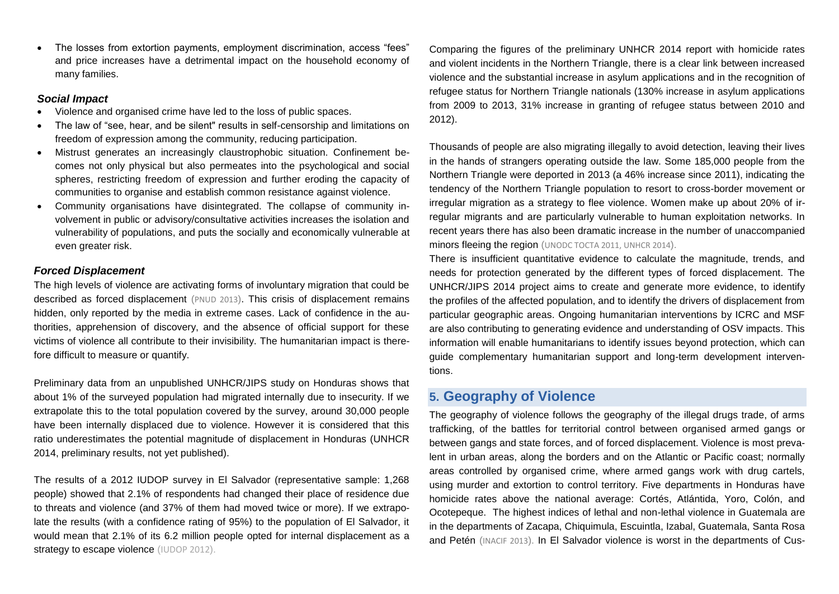The losses from extortion payments, employment discrimination, access "fees" and price increases have a detrimental impact on the household economy of many families.

#### *Social Impact*

- Violence and organised crime have led to the loss of public spaces.
- The law of "see, hear, and be silent" results in self-censorship and limitations on freedom of expression among the community, reducing participation.
- Mistrust generates an increasingly claustrophobic situation. Confinement becomes not only physical but also permeates into the psychological and social spheres, restricting freedom of expression and further eroding the capacity of communities to organise and establish common resistance against violence.
- Community organisations have disintegrated. The collapse of community involvement in public or advisory/consultative activities increases the isolation and vulnerability of populations, and puts the socially and economically vulnerable at even greater risk.

### *Forced Displacement*

The high levels of violence are activating forms of involuntary migration that could be described as forced displacement ([PNUD 2013](http://www.pnud.org.sv/2007/idh/content/view/43/109/)). This crisis of displacement remains hidden, only reported by the media in extreme cases. Lack of confidence in the authorities, apprehension of discovery, and the absence of official support for these victims of violence all contribute to their invisibility. The humanitarian impact is therefore difficult to measure or quantify.

Preliminary data from an unpublished UNHCR/JIPS study on Honduras shows that about 1% of the surveyed population had migrated internally due to insecurity. If we extrapolate this to the total population covered by the survey, around 30,000 people have been internally displaced due to violence. However it is considered that this ratio underestimates the potential magnitude of displacement in Honduras (UNHCR 2014, preliminary results, not yet published).

The results of a 2012 IUDOP survey in El Salvador (representative sample: 1,268 people) showed that 2.1% of respondents had changed their place of residence due to threats and violence (and 37% of them had moved twice or more). If we extrapolate the results (with a confidence rating of 95%) to the population of El Salvador, it would mean that 2.1% of its 6.2 million people opted for internal displacement as a strategy to escape violence ([IUDOP 2012](http://www.uca.edu.sv/publica/iudop/Encuestas.html)).

Comparing the figures of the preliminary UNHCR 2014 report with homicide rates and violent incidents in the Northern Triangle, there is a clear link between increased violence and the substantial increase in asylum applications and in the recognition of refugee status for Northern Triangle nationals (130% increase in asylum applications from 2009 to 2013, 31% increase in granting of refugee status between 2010 and 2012).

Thousands of people are also migrating illegally to avoid detection, leaving their lives in the hands of strangers operating outside the law. Some 185,000 people from the Northern Triangle were deported in 2013 (a 46% increase since 2011), indicating the tendency of the Northern Triangle population to resort to cross-border movement or irregular migration as a strategy to flee violence. Women make up about 20% of irregular migrants and are particularly vulnerable to human exploitation networks. In recent years there has also been dramatic increase in the number of unaccompanied minors fleeing the region (UNOD[C TOCTA 2011,](http://www.unodc.org/toc/en/reports/TOCTACentralAmerica-Caribbean.html) UNHCR 2014).

There is insufficient quantitative evidence to calculate the magnitude, trends, and needs for protection generated by the different types of forced displacement. The UNHCR/JIPS 2014 project aims to create and generate more evidence, to identify the profiles of the affected population, and to identify the drivers of displacement from particular geographic areas. Ongoing humanitarian interventions by ICRC and MSF are also contributing to generating evidence and understanding of OSV impacts. This information will enable humanitarians to identify issues beyond protection, which can guide complementary humanitarian support and long-term development interventions.

## **5. Geography of Violence**

The geography of violence follows the geography of the illegal drugs trade, of arms trafficking, of the battles for territorial control between organised armed gangs or between gangs and state forces, and of forced displacement. Violence is most prevalent in urban areas, along the borders and on the Atlantic or Pacific coast; normally areas controlled by organised crime, where armed gangs work with drug cartels, using murder and extortion to control territory. Five departments in Honduras have homicide rates above the national average: Cortés, Atlántida, Yoro, Colón, and Ocotepeque. The highest indices of lethal and non-lethal violence in Guatemala are in the departments of Zacapa, Chiquimula, Escuintla, Izabal, Guatemala, Santa Rosa and Petén ([INACIF 2013](http://www.inacif.gob.gt/index.php?option=com_content&view=article&id=97&Itemid=18)). In El Salvador violence is worst in the departments of Cus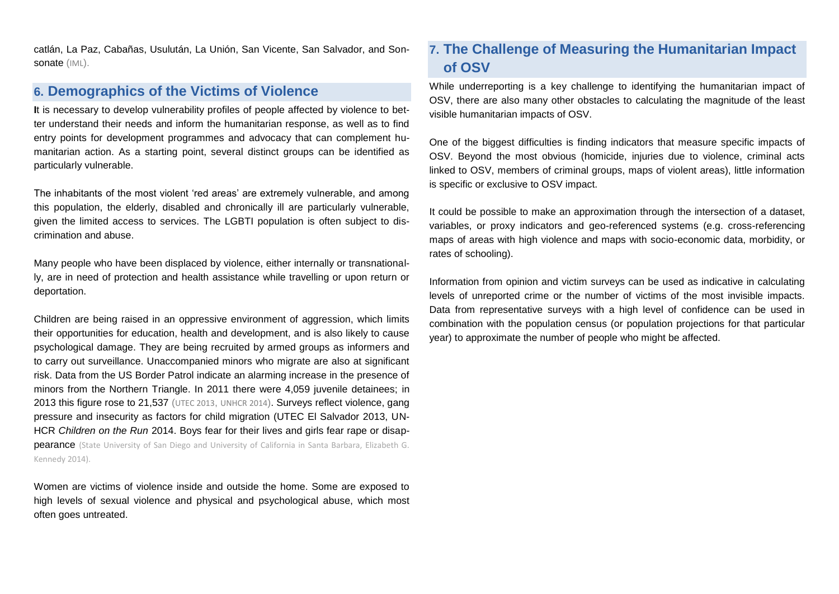catlán, La Paz, Cabañas, Usulután, La Unión, San Vicente, San Salvador, and Sonsonate ([IML](http://www.transparencia.oj.gob.sv/portal/transparencia.php?opcion=13)).

## **6. Demographics of the Victims of Violence**

**I**t is necessary to develop vulnerability profiles of people affected by violence to better understand their needs and inform the humanitarian response, as well as to find entry points for development programmes and advocacy that can complement humanitarian action. As a starting point, several distinct groups can be identified as particularly vulnerable.

The inhabitants of the most violent 'red areas' are extremely vulnerable, and among this population, the elderly, disabled and chronically ill are particularly vulnerable, given the limited access to services. The LGBTI population is often subject to discrimination and abuse.

Many people who have been displaced by violence, either internally or transnationally, are in need of protection and health assistance while travelling or upon return or deportation.

Children are being raised in an oppressive environment of aggression, which limits their opportunities for education, health and development, and is also likely to cause psychological damage. They are being recruited by armed groups as informers and to carry out surveillance. Unaccompanied minors who migrate are also at significant risk. Data from the US Border Patrol indicate an alarming increase in the presence of minors from the Northern Triangle. In 2011 there were 4,059 juvenile detainees; in 2013 this figure rose to 21,537 ([UTEC 2013](http://www.uscrirefugees.org/2010Website/3_Our%20Work/Child_Migrants/FINAL_SPANISH_VERSION.pdf), [UNHCR 2014](http://www.unhcrwashington.org/sites/default/files/UAC_UNHCR_Children%20on%20the%20Run_Full%20Report_ver2.pdf)). Surveys reflect violence, gang pressure and insecurity as factors for child migration (UTEC El Salvador 2013, UN-HCR *Children on the Run* 2014. Boys fear for their lives and girls fear rape or disap**pearance** (State University of San Diego and University of California in Santa Barbara, Elizabeth G. [Kennedy 2014\).](http://elizabethgkennedy.com/)

Women are victims of violence inside and outside the home. Some are exposed to high levels of sexual violence and physical and psychological abuse, which most often goes untreated.

# **7. The Challenge of Measuring the Humanitarian Impact of OSV**

While underreporting is a key challenge to identifying the humanitarian impact of OSV, there are also many other obstacles to calculating the magnitude of the least visible humanitarian impacts of OSV.

One of the biggest difficulties is finding indicators that measure specific impacts of OSV. Beyond the most obvious (homicide, injuries due to violence, criminal acts linked to OSV, members of criminal groups, maps of violent areas), little information is specific or exclusive to OSV impact.

It could be possible to make an approximation through the intersection of a dataset, variables, or proxy indicators and geo-referenced systems (e.g. cross-referencing maps of areas with high violence and maps with socio-economic data, morbidity, or rates of schooling).

Information from opinion and victim surveys can be used as indicative in calculating levels of unreported crime or the number of victims of the most invisible impacts. Data from representative surveys with a high level of confidence can be used in combination with the population census (or population projections for that particular year) to approximate the number of people who might be affected.